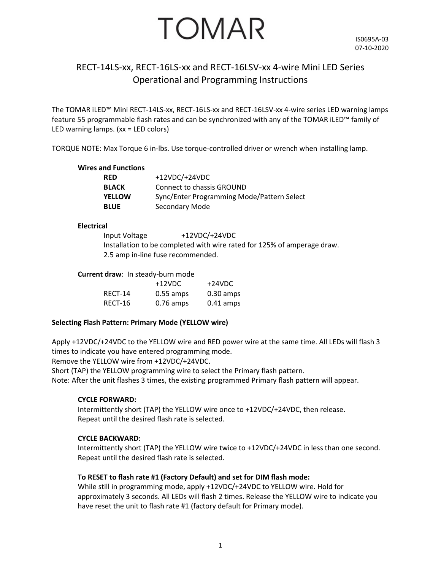# TOMAR

# RECT-14LS-xx, RECT-16LS-xx and RECT-16LSV-xx 4-wire Mini LED Series Operational and Programming Instructions

The TOMAR iLED™ Mini RECT-14LS-xx, RECT-16LS-xx and RECT-16LSV-xx 4-wire series LED warning lamps feature 55 programmable flash rates and can be synchronized with any of the TOMAR iLED™ family of LED warning lamps. (xx = LED colors)

TORQUE NOTE: Max Torque 6 in-lbs. Use torque-controlled driver or wrench when installing lamp.

#### **Wires and Functions**

| RED          | $+12VDC/+24VDC$                            |
|--------------|--------------------------------------------|
| <b>BLACK</b> | Connect to chassis GROUND                  |
| YELLOW       | Sync/Enter Programming Mode/Pattern Select |
| <b>BLUE</b>  | Secondary Mode                             |

#### **Electrical**

Input Voltage +12VDC/+24VDC Installation to be completed with wire rated for 125% of amperage draw. 2.5 amp in-line fuse recommended.

#### **Current draw**: In steady-burn mode

|         | $+12$ VDC   | +24VDC              |
|---------|-------------|---------------------|
| RECT-14 | $0.55$ amps | $0.30 \text{ amps}$ |
| RECT-16 | $0.76$ amps | $0.41$ amps         |

#### **Selecting Flash Pattern: Primary Mode (YELLOW wire)**

Apply +12VDC/+24VDC to the YELLOW wire and RED power wire at the same time. All LEDs will flash 3 times to indicate you have entered programming mode.

Remove the YELLOW wire from +12VDC/+24VDC.

Short (TAP) the YELLOW programming wire to select the Primary flash pattern.

Note: After the unit flashes 3 times, the existing programmed Primary flash pattern will appear.

#### **CYCLE FORWARD:**

Intermittently short (TAP) the YELLOW wire once to +12VDC/+24VDC, then release. Repeat until the desired flash rate is selected.

#### **CYCLE BACKWARD:**

Intermittently short (TAP) the YELLOW wire twice to +12VDC/+24VDC in less than one second. Repeat until the desired flash rate is selected.

#### **To RESET to flash rate #1 (Factory Default) and set for DIM flash mode:**

While still in programming mode, apply +12VDC/+24VDC to YELLOW wire. Hold for approximately 3 seconds. All LEDs will flash 2 times. Release the YELLOW wire to indicate you have reset the unit to flash rate #1 (factory default for Primary mode).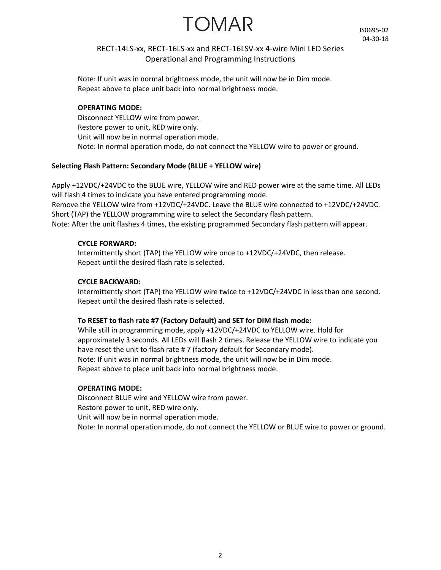TOMAR

IS0695-02 04-30-18

### RECT-14LS-xx, RECT-16LS-xx and RECT-16LSV-xx 4-wire Mini LED Series Operational and Programming Instructions

Note: If unit was in normal brightness mode, the unit will now be in Dim mode. Repeat above to place unit back into normal brightness mode.

#### **OPERATING MODE:**

Disconnect YELLOW wire from power. Restore power to unit, RED wire only. Unit will now be in normal operation mode. Note: In normal operation mode, do not connect the YELLOW wire to power or ground.

#### **Selecting Flash Pattern: Secondary Mode (BLUE + YELLOW wire)**

Apply +12VDC/+24VDC to the BLUE wire, YELLOW wire and RED power wire at the same time. All LEDs will flash 4 times to indicate you have entered programming mode. Remove the YELLOW wire from +12VDC/+24VDC. Leave the BLUE wire connected to +12VDC/+24VDC. Short (TAP) the YELLOW programming wire to select the Secondary flash pattern. Note: After the unit flashes 4 times, the existing programmed Secondary flash pattern will appear.

#### **CYCLE FORWARD:**

Intermittently short (TAP) the YELLOW wire once to +12VDC/+24VDC, then release. Repeat until the desired flash rate is selected.

#### **CYCLE BACKWARD:**

Intermittently short (TAP) the YELLOW wire twice to +12VDC/+24VDC in less than one second. Repeat until the desired flash rate is selected.

#### **To RESET to flash rate #7 (Factory Default) and SET for DIM flash mode:**

While still in programming mode, apply +12VDC/+24VDC to YELLOW wire. Hold for approximately 3 seconds. All LEDs will flash 2 times. Release the YELLOW wire to indicate you have reset the unit to flash rate #7 (factory default for Secondary mode). Note: If unit was in normal brightness mode, the unit will now be in Dim mode. Repeat above to place unit back into normal brightness mode.

#### **OPERATING MODE:**

Disconnect BLUE wire and YELLOW wire from power. Restore power to unit, RED wire only. Unit will now be in normal operation mode. Note: In normal operation mode, do not connect the YELLOW or BLUE wire to power or ground.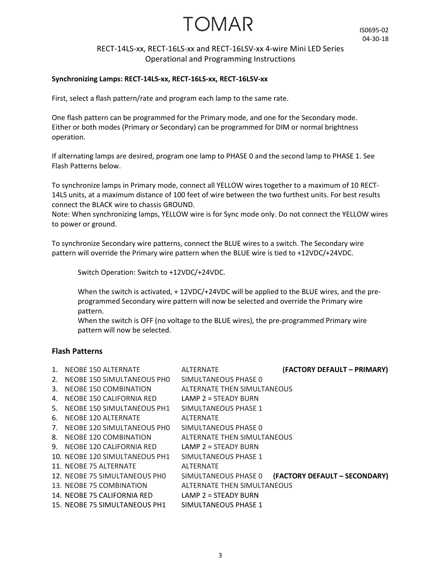# TOMAR

## RECT-14LS-xx, RECT-16LS-xx and RECT-16LSV-xx 4-wire Mini LED Series Operational and Programming Instructions

#### **Synchronizing Lamps: RECT-14LS-xx, RECT-16LS-xx, RECT-16LSV-xx**

First, select a flash pattern/rate and program each lamp to the same rate.

One flash pattern can be programmed for the Primary mode, and one for the Secondary mode. Either or both modes (Primary or Secondary) can be programmed for DIM or normal brightness operation.

If alternating lamps are desired, program one lamp to PHASE 0 and the second lamp to PHASE 1. See Flash Patterns below.

To synchronize lamps in Primary mode, connect all YELLOW wires together to a maximum of 10 RECT-14LS units, at a maximum distance of 100 feet of wire between the two furthest units. For best results connect the BLACK wire to chassis GROUND.

Note: When synchronizing lamps, YELLOW wire is for Sync mode only. Do not connect the YELLOW wires to power or ground.

To synchronize Secondary wire patterns, connect the BLUE wires to a switch. The Secondary wire pattern will override the Primary wire pattern when the BLUE wire is tied to +12VDC/+24VDC.

Switch Operation: Switch to +12VDC/+24VDC.

When the switch is activated, + 12VDC/+24VDC will be applied to the BLUE wires, and the preprogrammed Secondary wire pattern will now be selected and override the Primary wire pattern.

When the switch is OFF (no voltage to the BLUE wires), the pre-programmed Primary wire pattern will now be selected.

#### **Flash Patterns**

| $\mathbf{1}$ . | NEOBE 150 ALTERNATE            | <b>ALTERNATE</b>            | (FACTORY DEFAULT - PRIMARY)   |
|----------------|--------------------------------|-----------------------------|-------------------------------|
| 2.             | NEOBE 150 SIMULTANEOUS PHO     | SIMULTANEOUS PHASE 0        |                               |
| 3.             | NEOBE 150 COMBINATION          | ALTERNATE THEN SIMULTANEOUS |                               |
| 4.             | NEOBE 150 CALIFORNIA RED       | LAMP $2 =$ STEADY BURN      |                               |
|                | 5. NEOBE 150 SIMULTANEOUS PH1  | SIMULTANEOUS PHASE 1        |                               |
|                | 6. NEOBE 120 ALTERNATE         | ALTERNATE                   |                               |
|                | 7. NEOBE 120 SIMULTANEOUS PHO  | SIMULTANEOUS PHASE 0        |                               |
|                | 8. NEOBE 120 COMBINATION       | ALTERNATE THEN SIMULTANEOUS |                               |
|                | 9. NEOBE 120 CALIFORNIA RED    | LAMP 2 = STEADY BURN        |                               |
|                | 10. NEOBE 120 SIMULTANEOUS PH1 | SIMULTANEOUS PHASE 1        |                               |
|                | 11. NEOBE 75 ALTERNATE         | <b>ALTFRNATF</b>            |                               |
|                | 12. NEOBE 75 SIMULTANEOUS PHO  | SIMULTANEOUS PHASE 0        | (FACTORY DEFAULT - SECONDARY) |
|                | 13. NEOBE 75 COMBINATION       | ALTERNATE THEN SIMULTANEOUS |                               |
|                | 14. NEOBE 75 CALIFORNIA RED    | LAMP $2 =$ STEADY BURN      |                               |
|                | 15. NEOBE 75 SIMULTANEOUS PH1  | SIMULTANEOUS PHASE 1        |                               |